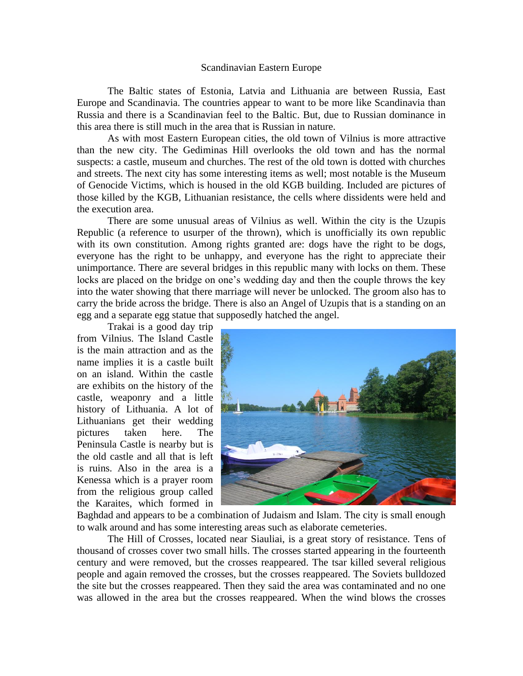## Scandinavian Eastern Europe

The Baltic states of Estonia, Latvia and Lithuania are between Russia, East Europe and Scandinavia. The countries appear to want to be more like Scandinavia than Russia and there is a Scandinavian feel to the Baltic. But, due to Russian dominance in this area there is still much in the area that is Russian in nature.

As with most Eastern European cities, the old town of Vilnius is more attractive than the new city. The Gediminas Hill overlooks the old town and has the normal suspects: a castle, museum and churches. The rest of the old town is dotted with churches and streets. The next city has some interesting items as well; most notable is the Museum of Genocide Victims, which is housed in the old KGB building. Included are pictures of those killed by the KGB, Lithuanian resistance, the cells where dissidents were held and the execution area.

There are some unusual areas of Vilnius as well. Within the city is the Uzupis Republic (a reference to usurper of the thrown), which is unofficially its own republic with its own constitution. Among rights granted are: dogs have the right to be dogs, everyone has the right to be unhappy, and everyone has the right to appreciate their unimportance. There are several bridges in this republic many with locks on them. These locks are placed on the bridge on one's wedding day and then the couple throws the key into the water showing that there marriage will never be unlocked. The groom also has to carry the bride across the bridge. There is also an Angel of Uzupis that is a standing on an egg and a separate egg statue that supposedly hatched the angel.

Trakai is a good day trip from Vilnius. The Island Castle is the main attraction and as the name implies it is a castle built on an island. Within the castle are exhibits on the history of the castle, weaponry and a little history of Lithuania. A lot of Lithuanians get their wedding pictures taken here. The Peninsula Castle is nearby but is the old castle and all that is left is ruins. Also in the area is a Kenessa which is a prayer room from the religious group called the Karaites, which formed in



Baghdad and appears to be a combination of Judaism and Islam. The city is small enough to walk around and has some interesting areas such as elaborate cemeteries.

The Hill of Crosses, located near Siauliai, is a great story of resistance. Tens of thousand of crosses cover two small hills. The crosses started appearing in the fourteenth century and were removed, but the crosses reappeared. The tsar killed several religious people and again removed the crosses, but the crosses reappeared. The Soviets bulldozed the site but the crosses reappeared. Then they said the area was contaminated and no one was allowed in the area but the crosses reappeared. When the wind blows the crosses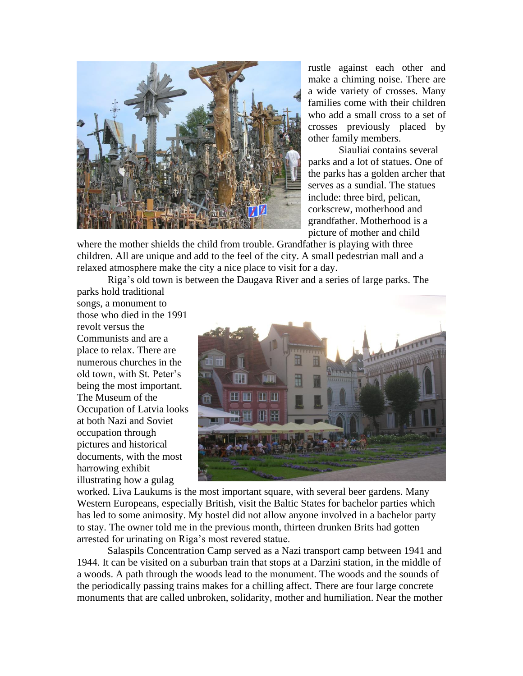

rustle against each other and make a chiming noise. There are a wide variety of crosses. Many families come with their children who add a small cross to a set of crosses previously placed by other family members.

Siauliai contains several parks and a lot of statues. One of the parks has a golden archer that serves as a sundial. The statues include: three bird, pelican, corkscrew, motherhood and grandfather. Motherhood is a picture of mother and child

where the mother shields the child from trouble. Grandfather is playing with three children. All are unique and add to the feel of the city. A small pedestrian mall and a relaxed atmosphere make the city a nice place to visit for a day.

Riga's old town is between the Daugava River and a series of large parks. The

parks hold traditional songs, a monument to those who died in the 1991 revolt versus the Communists and are a place to relax. There are numerous churches in the old town, with St. Peter's being the most important. The Museum of the Occupation of Latvia looks at both Nazi and Soviet occupation through pictures and historical documents, with the most harrowing exhibit illustrating how a gulag



worked. Liva Laukums is the most important square, with several beer gardens. Many Western Europeans, especially British, visit the Baltic States for bachelor parties which has led to some animosity. My hostel did not allow anyone involved in a bachelor party to stay. The owner told me in the previous month, thirteen drunken Brits had gotten arrested for urinating on Riga's most revered statue.

Salaspils Concentration Camp served as a Nazi transport camp between 1941 and 1944. It can be visited on a suburban train that stops at a Darzini station, in the middle of a woods. A path through the woods lead to the monument. The woods and the sounds of the periodically passing trains makes for a chilling affect. There are four large concrete monuments that are called unbroken, solidarity, mother and humiliation. Near the mother